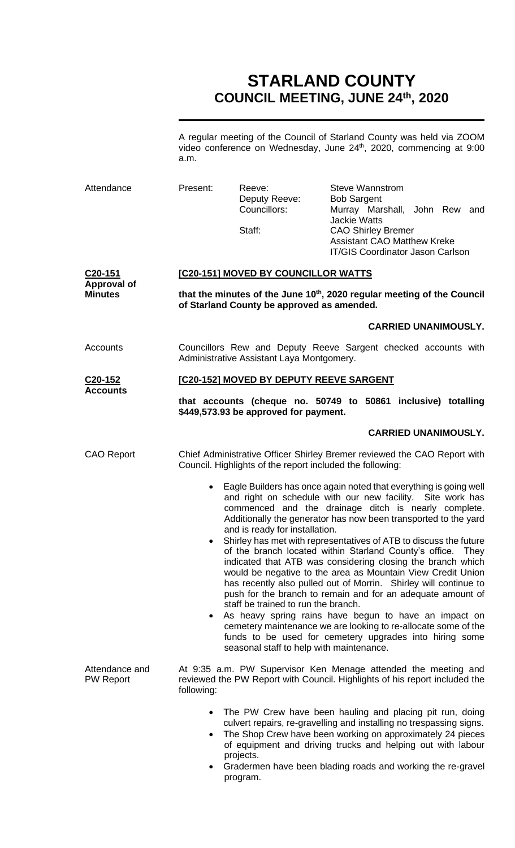# **STARLAND COUNTY COUNCIL MEETING, JUNE 24th, 2020**

A regular meeting of the Council of Starland County was held via ZOOM video conference on Wednesday, June 24<sup>th</sup>, 2020, commencing at 9:00 a.m.

| Attendance                           | Present:                                                                                                                              | Reeve:<br>Deputy Reeve:<br>Councillors:<br>Staff:                                                                 | <b>Steve Wannstrom</b><br><b>Bob Sargent</b><br>Murray Marshall, John Rew and<br><b>Jackie Watts</b><br><b>CAO Shirley Bremer</b><br><b>Assistant CAO Matthew Kreke</b><br><b>IT/GIS Coordinator Jason Carlson</b>                                                                                                                                                                                                                                                                                                                                                                                                                                                                                                                                                                                                                                                                                                      |  |  |  |
|--------------------------------------|---------------------------------------------------------------------------------------------------------------------------------------|-------------------------------------------------------------------------------------------------------------------|-------------------------------------------------------------------------------------------------------------------------------------------------------------------------------------------------------------------------------------------------------------------------------------------------------------------------------------------------------------------------------------------------------------------------------------------------------------------------------------------------------------------------------------------------------------------------------------------------------------------------------------------------------------------------------------------------------------------------------------------------------------------------------------------------------------------------------------------------------------------------------------------------------------------------|--|--|--|
| C <sub>20</sub> -151                 | <b>[C20-151] MOVED BY COUNCILLOR WATTS</b>                                                                                            |                                                                                                                   |                                                                                                                                                                                                                                                                                                                                                                                                                                                                                                                                                                                                                                                                                                                                                                                                                                                                                                                         |  |  |  |
| <b>Approval of</b><br><b>Minutes</b> | that the minutes of the June 10 <sup>th</sup> , 2020 regular meeting of the Council<br>of Starland County be approved as amended.     |                                                                                                                   |                                                                                                                                                                                                                                                                                                                                                                                                                                                                                                                                                                                                                                                                                                                                                                                                                                                                                                                         |  |  |  |
|                                      |                                                                                                                                       |                                                                                                                   | <b>CARRIED UNANIMOUSLY.</b>                                                                                                                                                                                                                                                                                                                                                                                                                                                                                                                                                                                                                                                                                                                                                                                                                                                                                             |  |  |  |
| <b>Accounts</b>                      |                                                                                                                                       | Councillors Rew and Deputy Reeve Sargent checked accounts with<br>Administrative Assistant Laya Montgomery.       |                                                                                                                                                                                                                                                                                                                                                                                                                                                                                                                                                                                                                                                                                                                                                                                                                                                                                                                         |  |  |  |
| C <sub>20</sub> -152                 | [C20-152] MOVED BY DEPUTY REEVE SARGENT                                                                                               |                                                                                                                   |                                                                                                                                                                                                                                                                                                                                                                                                                                                                                                                                                                                                                                                                                                                                                                                                                                                                                                                         |  |  |  |
| <b>Accounts</b>                      |                                                                                                                                       | \$449,573.93 be approved for payment.                                                                             | that accounts (cheque no. 50749 to 50861 inclusive) totalling                                                                                                                                                                                                                                                                                                                                                                                                                                                                                                                                                                                                                                                                                                                                                                                                                                                           |  |  |  |
|                                      |                                                                                                                                       |                                                                                                                   | <b>CARRIED UNANIMOUSLY.</b>                                                                                                                                                                                                                                                                                                                                                                                                                                                                                                                                                                                                                                                                                                                                                                                                                                                                                             |  |  |  |
| <b>CAO Report</b>                    | Chief Administrative Officer Shirley Bremer reviewed the CAO Report with<br>Council. Highlights of the report included the following: |                                                                                                                   |                                                                                                                                                                                                                                                                                                                                                                                                                                                                                                                                                                                                                                                                                                                                                                                                                                                                                                                         |  |  |  |
| Attendance and                       | $\bullet$<br>$\bullet$                                                                                                                | and is ready for installation.<br>staff be trained to run the branch.<br>seasonal staff to help with maintenance. | Eagle Builders has once again noted that everything is going well<br>and right on schedule with our new facility. Site work has<br>commenced and the drainage ditch is nearly complete.<br>Additionally the generator has now been transported to the yard<br>Shirley has met with representatives of ATB to discuss the future<br>of the branch located within Starland County's office. They<br>indicated that ATB was considering closing the branch which<br>would be negative to the area as Mountain View Credit Union<br>has recently also pulled out of Morrin. Shirley will continue to<br>push for the branch to remain and for an adequate amount of<br>As heavy spring rains have begun to have an impact on<br>cemetery maintenance we are looking to re-allocate some of the<br>funds to be used for cemetery upgrades into hiring some<br>At 9:35 a.m. PW Supervisor Ken Menage attended the meeting and |  |  |  |
| <b>PW Report</b>                     | following:<br>$\bullet$<br>٠<br>$\bullet$                                                                                             | projects.<br>program.                                                                                             | reviewed the PW Report with Council. Highlights of his report included the<br>The PW Crew have been hauling and placing pit run, doing<br>culvert repairs, re-gravelling and installing no trespassing signs.<br>The Shop Crew have been working on approximately 24 pieces<br>of equipment and driving trucks and helping out with labour<br>Gradermen have been blading roads and working the re-gravel                                                                                                                                                                                                                                                                                                                                                                                                                                                                                                               |  |  |  |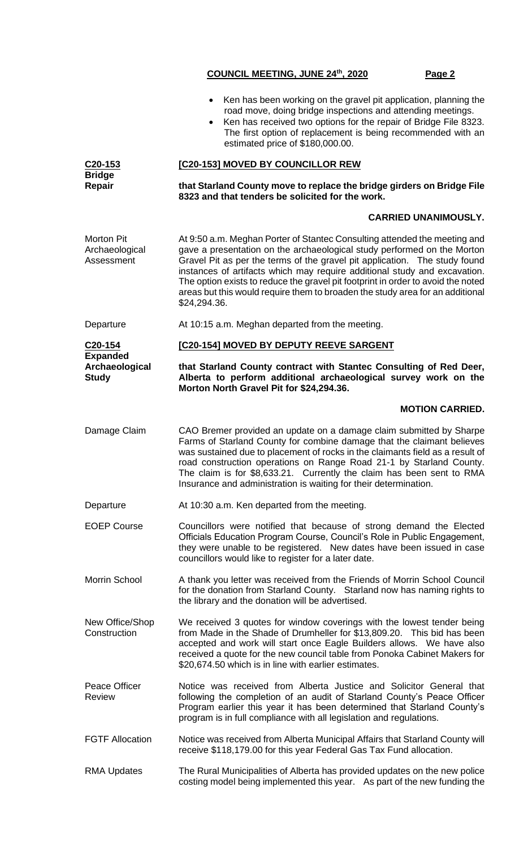- Ken has been working on the gravel pit application, planning the road move, doing bridge inspections and attending meetings.
	- Ken has received two options for the repair of Bridge File 8323. The first option of replacement is being recommended with an estimated price of \$180,000.00.

**C20-153 Bridge Repair [C20-153] MOVED BY COUNCILLOR REW that Starland County move to replace the bridge girders on Bridge File 8323 and that tenders be solicited for the work. CARRIED UNANIMOUSLY.** Morton Pit Archaeological Assessment At 9:50 a.m. Meghan Porter of Stantec Consulting attended the meeting and gave a presentation on the archaeological study performed on the Morton Gravel Pit as per the terms of the gravel pit application. The study found instances of artifacts which may require additional study and excavation. The option exists to reduce the gravel pit footprint in order to avoid the noted areas but this would require them to broaden the study area for an additional \$24,294.36. Departure **At 10:15 a.m. Meghan departed from the meeting. C20-154 Expanded Archaeological Study [C20-154] MOVED BY DEPUTY REEVE SARGENT that Starland County contract with Stantec Consulting of Red Deer, Alberta to perform additional archaeological survey work on the Morton North Gravel Pit for \$24,294.36. MOTION CARRIED.** Damage Claim CAO Bremer provided an update on a damage claim submitted by Sharpe Farms of Starland County for combine damage that the claimant believes was sustained due to placement of rocks in the claimants field as a result of road construction operations on Range Road 21-1 by Starland County. The claim is for \$8,633.21. Currently the claim has been sent to RMA Insurance and administration is waiting for their determination. Departure At 10:30 a.m. Ken departed from the meeting. EOEP Course Councillors were notified that because of strong demand the Elected Officials Education Program Course, Council's Role in Public Engagement, they were unable to be registered. New dates have been issued in case councillors would like to register for a later date. Morrin School A thank you letter was received from the Friends of Morrin School Council for the donation from Starland County. Starland now has naming rights to the library and the donation will be advertised. New Office/Shop **Construction** We received 3 quotes for window coverings with the lowest tender being from Made in the Shade of Drumheller for \$13,809.20. This bid has been accepted and work will start once Eagle Builders allows. We have also received a quote for the new council table from Ponoka Cabinet Makers for \$20,674.50 which is in line with earlier estimates. Peace Officer Review Notice was received from Alberta Justice and Solicitor General that following the completion of an audit of Starland County's Peace Officer Program earlier this year it has been determined that Starland County's program is in full compliance with all legislation and regulations. FGTF Allocation Motice was received from Alberta Municipal Affairs that Starland County will receive \$118,179.00 for this year Federal Gas Tax Fund allocation. RMA Updates The Rural Municipalities of Alberta has provided updates on the new police

costing model being implemented this year. As part of the new funding the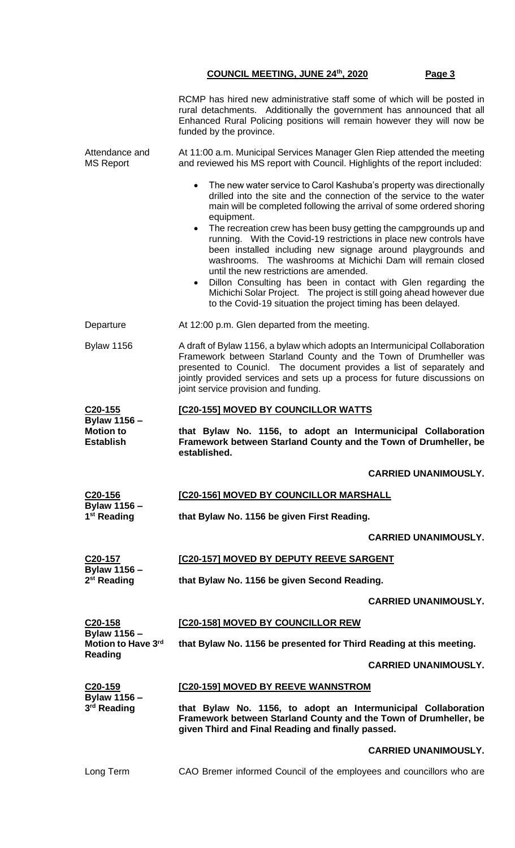|                                                | RCMP has hired new administrative staff some of which will be posted in<br>rural detachments. Additionally the government has announced that all<br>Enhanced Rural Policing positions will remain however they will now be<br>funded by the province.                                                                                                                                                                                                                                                                                                                                                                                                                                                                                                             |  |  |  |
|------------------------------------------------|-------------------------------------------------------------------------------------------------------------------------------------------------------------------------------------------------------------------------------------------------------------------------------------------------------------------------------------------------------------------------------------------------------------------------------------------------------------------------------------------------------------------------------------------------------------------------------------------------------------------------------------------------------------------------------------------------------------------------------------------------------------------|--|--|--|
| Attendance and<br><b>MS Report</b>             | At 11:00 a.m. Municipal Services Manager Glen Riep attended the meeting<br>and reviewed his MS report with Council. Highlights of the report included:                                                                                                                                                                                                                                                                                                                                                                                                                                                                                                                                                                                                            |  |  |  |
|                                                | • The new water service to Carol Kashuba's property was directionally<br>drilled into the site and the connection of the service to the water<br>main will be completed following the arrival of some ordered shoring<br>equipment.<br>The recreation crew has been busy getting the campgrounds up and<br>running. With the Covid-19 restrictions in place new controls have<br>been installed including new signage around playgrounds and<br>washrooms. The washrooms at Michichi Dam will remain closed<br>until the new restrictions are amended.<br>Dillon Consulting has been in contact with Glen regarding the<br>Michichi Solar Project. The project is still going ahead however due<br>to the Covid-19 situation the project timing has been delayed. |  |  |  |
| Departure                                      | At 12:00 p.m. Glen departed from the meeting.                                                                                                                                                                                                                                                                                                                                                                                                                                                                                                                                                                                                                                                                                                                     |  |  |  |
| <b>Bylaw 1156</b>                              | A draft of Bylaw 1156, a bylaw which adopts an Intermunicipal Collaboration<br>Framework between Starland County and the Town of Drumheller was<br>presented to Counicl. The document provides a list of separately and<br>jointly provided services and sets up a process for future discussions on<br>joint service provision and funding.                                                                                                                                                                                                                                                                                                                                                                                                                      |  |  |  |
| C <sub>20</sub> -155                           | <b>[C20-155] MOVED BY COUNCILLOR WATTS</b>                                                                                                                                                                                                                                                                                                                                                                                                                                                                                                                                                                                                                                                                                                                        |  |  |  |
| <b>Bylaw 1156 -</b>                            | that Bylaw No. 1156, to adopt an Intermunicipal Collaboration<br>Framework between Starland County and the Town of Drumheller, be<br>established.                                                                                                                                                                                                                                                                                                                                                                                                                                                                                                                                                                                                                 |  |  |  |
| <b>Motion to</b><br><b>Establish</b>           |                                                                                                                                                                                                                                                                                                                                                                                                                                                                                                                                                                                                                                                                                                                                                                   |  |  |  |
|                                                | <b>CARRIED UNANIMOUSLY.</b>                                                                                                                                                                                                                                                                                                                                                                                                                                                                                                                                                                                                                                                                                                                                       |  |  |  |
| C20-156                                        | [C20-156] MOVED BY COUNCILLOR MARSHALL                                                                                                                                                                                                                                                                                                                                                                                                                                                                                                                                                                                                                                                                                                                            |  |  |  |
| <b>Bylaw 1156 -</b><br>1 <sup>st</sup> Reading | that Bylaw No. 1156 be given First Reading.                                                                                                                                                                                                                                                                                                                                                                                                                                                                                                                                                                                                                                                                                                                       |  |  |  |
|                                                | <b>CARRIED UNANIMOUSLY.</b>                                                                                                                                                                                                                                                                                                                                                                                                                                                                                                                                                                                                                                                                                                                                       |  |  |  |
| C <sub>20</sub> -157                           | [C20-157] MOVED BY DEPUTY REEVE SARGENT                                                                                                                                                                                                                                                                                                                                                                                                                                                                                                                                                                                                                                                                                                                           |  |  |  |
| <b>Bylaw 1156 -</b><br>2 <sup>st</sup> Reading | that Bylaw No. 1156 be given Second Reading.                                                                                                                                                                                                                                                                                                                                                                                                                                                                                                                                                                                                                                                                                                                      |  |  |  |
|                                                | <b>CARRIED UNANIMOUSLY.</b>                                                                                                                                                                                                                                                                                                                                                                                                                                                                                                                                                                                                                                                                                                                                       |  |  |  |
| C20-158                                        | [C20-158] MOVED BY COUNCILLOR REW                                                                                                                                                                                                                                                                                                                                                                                                                                                                                                                                                                                                                                                                                                                                 |  |  |  |
| <b>Bylaw 1156 -</b><br>Motion to Have 3rd      | that Bylaw No. 1156 be presented for Third Reading at this meeting.                                                                                                                                                                                                                                                                                                                                                                                                                                                                                                                                                                                                                                                                                               |  |  |  |
| <b>Reading</b>                                 | <b>CARRIED UNANIMOUSLY.</b>                                                                                                                                                                                                                                                                                                                                                                                                                                                                                                                                                                                                                                                                                                                                       |  |  |  |
| C20-159                                        | [C20-159] MOVED BY REEVE WANNSTROM                                                                                                                                                                                                                                                                                                                                                                                                                                                                                                                                                                                                                                                                                                                                |  |  |  |
| Bylaw 1156 -<br>3rd Reading                    | that Bylaw No. 1156, to adopt an Intermunicipal Collaboration<br>Framework between Starland County and the Town of Drumheller, be<br>given Third and Final Reading and finally passed.                                                                                                                                                                                                                                                                                                                                                                                                                                                                                                                                                                            |  |  |  |

Long Term CAO Bremer informed Council of the employees and councillors who are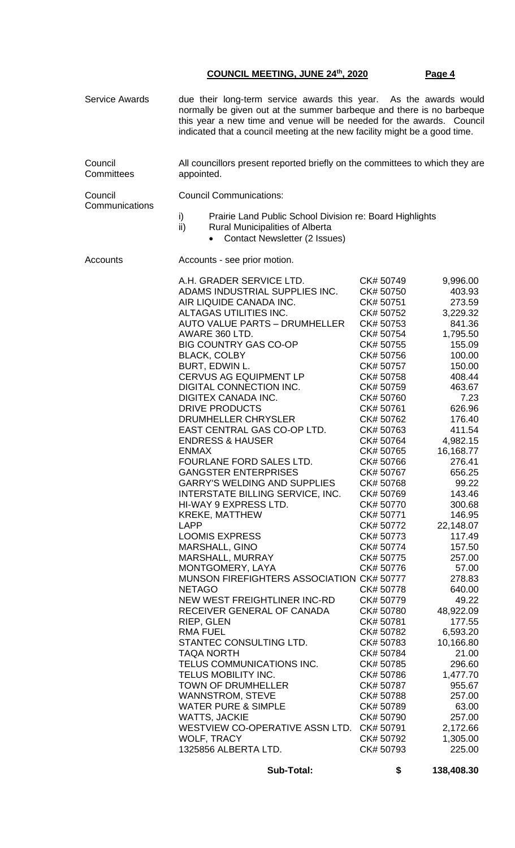| <b>Service Awards</b> | due their long-term service awards this year. As the awards would<br>normally be given out at the summer barbeque and there is no barbeque<br>this year a new time and venue will be needed for the awards. Council<br>indicated that a council meeting at the new facility might be a good time.                                                                                                                                                                                                                                                                                                                                                                                                                                                                                                                                                                                                                                                                                                                                                                                                                                                                                                                      |                                                                                                                                                                                                                                                                                                                                                                                                                                                                                                                                                                             |                                                                                                                                                                                                                                                                                                                                                                                                                                                                                     |  |  |
|-----------------------|------------------------------------------------------------------------------------------------------------------------------------------------------------------------------------------------------------------------------------------------------------------------------------------------------------------------------------------------------------------------------------------------------------------------------------------------------------------------------------------------------------------------------------------------------------------------------------------------------------------------------------------------------------------------------------------------------------------------------------------------------------------------------------------------------------------------------------------------------------------------------------------------------------------------------------------------------------------------------------------------------------------------------------------------------------------------------------------------------------------------------------------------------------------------------------------------------------------------|-----------------------------------------------------------------------------------------------------------------------------------------------------------------------------------------------------------------------------------------------------------------------------------------------------------------------------------------------------------------------------------------------------------------------------------------------------------------------------------------------------------------------------------------------------------------------------|-------------------------------------------------------------------------------------------------------------------------------------------------------------------------------------------------------------------------------------------------------------------------------------------------------------------------------------------------------------------------------------------------------------------------------------------------------------------------------------|--|--|
| Council<br>Committees | All councillors present reported briefly on the committees to which they are<br>appointed.                                                                                                                                                                                                                                                                                                                                                                                                                                                                                                                                                                                                                                                                                                                                                                                                                                                                                                                                                                                                                                                                                                                             |                                                                                                                                                                                                                                                                                                                                                                                                                                                                                                                                                                             |                                                                                                                                                                                                                                                                                                                                                                                                                                                                                     |  |  |
| Council               | <b>Council Communications:</b>                                                                                                                                                                                                                                                                                                                                                                                                                                                                                                                                                                                                                                                                                                                                                                                                                                                                                                                                                                                                                                                                                                                                                                                         |                                                                                                                                                                                                                                                                                                                                                                                                                                                                                                                                                                             |                                                                                                                                                                                                                                                                                                                                                                                                                                                                                     |  |  |
| Communications        | i)<br>Prairie Land Public School Division re: Board Highlights<br>ii)<br><b>Rural Municipalities of Alberta</b><br>Contact Newsletter (2 Issues)<br>$\bullet$                                                                                                                                                                                                                                                                                                                                                                                                                                                                                                                                                                                                                                                                                                                                                                                                                                                                                                                                                                                                                                                          |                                                                                                                                                                                                                                                                                                                                                                                                                                                                                                                                                                             |                                                                                                                                                                                                                                                                                                                                                                                                                                                                                     |  |  |
| Accounts              | Accounts - see prior motion.                                                                                                                                                                                                                                                                                                                                                                                                                                                                                                                                                                                                                                                                                                                                                                                                                                                                                                                                                                                                                                                                                                                                                                                           |                                                                                                                                                                                                                                                                                                                                                                                                                                                                                                                                                                             |                                                                                                                                                                                                                                                                                                                                                                                                                                                                                     |  |  |
|                       | A.H. GRADER SERVICE LTD.<br>ADAMS INDUSTRIAL SUPPLIES INC.<br>AIR LIQUIDE CANADA INC.<br>ALTAGAS UTILITIES INC.<br><b>AUTO VALUE PARTS - DRUMHELLER</b><br>AWARE 360 LTD.<br><b>BIG COUNTRY GAS CO-OP</b><br><b>BLACK, COLBY</b><br>BURT, EDWIN L.<br>CERVUS AG EQUIPMENT LP<br>DIGITAL CONNECTION INC.<br>DIGITEX CANADA INC.<br><b>DRIVE PRODUCTS</b><br>DRUMHELLER CHRYSLER<br>EAST CENTRAL GAS CO-OP LTD.<br><b>ENDRESS &amp; HAUSER</b><br><b>ENMAX</b><br>FOURLANE FORD SALES LTD.<br><b>GANGSTER ENTERPRISES</b><br><b>GARRY'S WELDING AND SUPPLIES</b><br>INTERSTATE BILLING SERVICE, INC.<br>HI-WAY 9 EXPRESS LTD.<br><b>KREKE, MATTHEW</b><br>LAPP<br><b>LOOMIS EXPRESS</b><br>MARSHALL, GINO<br>MARSHALL, MURRAY<br>MONTGOMERY, LAYA<br>MUNSON FIREFIGHTERS ASSOCIATION CK# 50777<br><b>NETAGO</b><br>NEW WEST FREIGHTLINER INC-RD<br>RECEIVER GENERAL OF CANADA<br>RIEP, GLEN<br><b>RMA FUEL</b><br>STANTEC CONSULTING LTD.<br><b>TAQA NORTH</b><br>TELUS COMMUNICATIONS INC.<br>TELUS MOBILITY INC.<br><b>TOWN OF DRUMHELLER</b><br><b>WANNSTROM, STEVE</b><br><b>WATER PURE &amp; SIMPLE</b><br><b>WATTS, JACKIE</b><br>WESTVIEW CO-OPERATIVE ASSN LTD. CK# 50791<br>WOLF, TRACY<br>1325856 ALBERTA LTD. | CK# 50749<br>CK# 50750<br>CK# 50751<br>CK# 50752<br>CK# 50753<br>CK# 50754<br>CK# 50755<br>CK# 50756<br>CK# 50757<br>CK# 50758<br>CK# 50759<br>CK# 50760<br>CK# 50761<br>CK# 50762<br>CK# 50763<br>CK# 50764<br>CK# 50765<br>CK# 50766<br>CK# 50767<br>CK# 50768<br>CK# 50769<br>CK# 50770<br>CK# 50771<br>CK# 50772<br>CK# 50773<br>CK# 50774<br>CK# 50775<br>CK# 50776<br>CK# 50778<br>CK# 50779<br>CK# 50780<br>CK# 50781<br>CK# 50782<br>CK# 50783<br>CK# 50784<br>CK# 50785<br>CK# 50786<br>CK# 50787<br>CK# 50788<br>CK# 50789<br>CK# 50790<br>CK# 50792<br>CK# 50793 | 9,996.00<br>403.93<br>273.59<br>3,229.32<br>841.36<br>1,795.50<br>155.09<br>100.00<br>150.00<br>408.44<br>463.67<br>7.23<br>626.96<br>176.40<br>411.54<br>4,982.15<br>16,168.77<br>276.41<br>656.25<br>99.22<br>143.46<br>300.68<br>146.95<br>22,148.07<br>117.49<br>157.50<br>257.00<br>57.00<br>278.83<br>640.00<br>49.22<br>48,922.09<br>177.55<br>6,593.20<br>10,166.80<br>21.00<br>296.60<br>1,477.70<br>955.67<br>257.00<br>63.00<br>257.00<br>2,172.66<br>1,305.00<br>225.00 |  |  |

 **Sub-Total: \$ 138,408.30**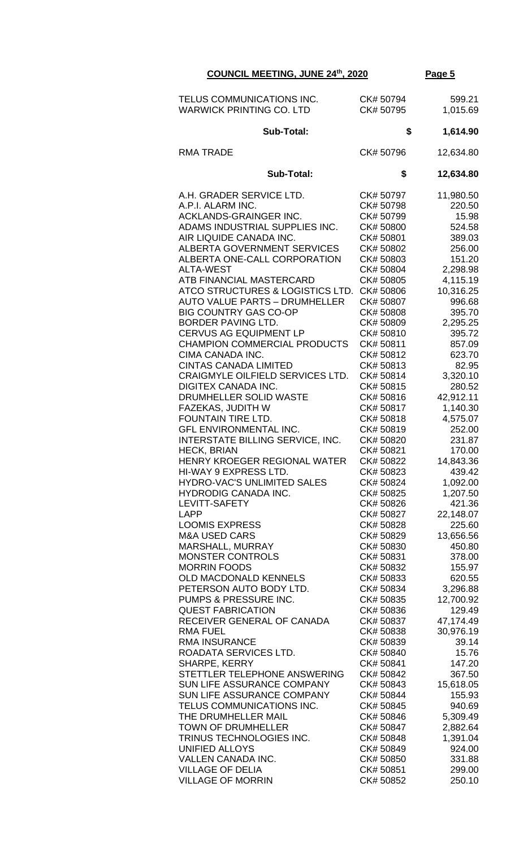| TELUS COMMUNICATIONS INC.<br><b>WARWICK PRINTING CO. LTD</b> | CK# 50794<br>CK# 50795 | 599.21<br>1,015.69  |
|--------------------------------------------------------------|------------------------|---------------------|
| Sub-Total:                                                   | \$                     | 1,614.90            |
| <b>RMA TRADE</b>                                             | CK# 50796              | 12,634.80           |
| <b>Sub-Total:</b>                                            | \$                     | 12,634.80           |
| A.H. GRADER SERVICE LTD.<br>A.P.I. ALARM INC.                | CK# 50797<br>CK# 50798 | 11,980.50<br>220.50 |
| ACKLANDS-GRAINGER INC.                                       | CK# 50799              | 15.98               |
| ADAMS INDUSTRIAL SUPPLIES INC.                               | CK# 50800              | 524.58              |
| AIR LIQUIDE CANADA INC.                                      | CK# 50801              | 389.03              |
| <b>ALBERTA GOVERNMENT SERVICES</b>                           | CK# 50802              | 256.00              |
| ALBERTA ONE-CALL CORPORATION                                 | CK# 50803              | 151.20              |
| <b>ALTA-WEST</b>                                             | CK# 50804              | 2,298.98            |
| ATB FINANCIAL MASTERCARD                                     | CK# 50805              | 4,115.19            |
| ATCO STRUCTURES & LOGISTICS LTD.                             | CK# 50806              | 10,316.25           |
| <b>AUTO VALUE PARTS - DRUMHELLER</b>                         | CK# 50807              | 996.68              |
| <b>BIG COUNTRY GAS CO-OP</b>                                 | CK# 50808              | 395.70              |
| BORDER PAVING LTD.                                           | CK# 50809              | 2,295.25            |
| <b>CERVUS AG EQUIPMENT LP</b>                                | CK# 50810              | 395.72              |
| <b>CHAMPION COMMERCIAL PRODUCTS</b>                          | CK# 50811              | 857.09              |
| CIMA CANADA INC.                                             | CK# 50812              | 623.70              |
| <b>CINTAS CANADA LIMITED</b>                                 | CK# 50813              | 82.95               |
| CRAIGMYLE OILFIELD SERVICES LTD.                             | CK# 50814              | 3,320.10            |
| <b>DIGITEX CANADA INC.</b>                                   | CK# 50815              | 280.52              |
| DRUMHELLER SOLID WASTE                                       | CK# 50816              | 42,912.11           |
| FAZEKAS, JUDITH W                                            | CK# 50817              | 1,140.30            |
| FOUNTAIN TIRE LTD.                                           | CK# 50818              | 4,575.07            |
| GFL ENVIRONMENTAL INC.                                       | CK# 50819              | 252.00              |
| INTERSTATE BILLING SERVICE, INC.<br><b>HECK, BRIAN</b>       | CK# 50820<br>CK# 50821 | 231.87<br>170.00    |
| HENRY KROEGER REGIONAL WATER                                 | CK# 50822              | 14,843.36           |
| HI-WAY 9 EXPRESS LTD.                                        | CK# 50823              | 439.42              |
| HYDRO-VAC'S UNLIMITED SALES                                  | CK# 50824              | 1,092.00            |
| <b>HYDRODIG CANADA INC.</b>                                  | CK# 50825              | 1,207.50            |
| LEVITT-SAFETY                                                | CK# 50826              | 421.36              |
| <b>LAPP</b>                                                  | CK# 50827              | 22,148.07           |
| <b>LOOMIS EXPRESS</b>                                        | CK# 50828              | 225.60              |
| <b>M&amp;A USED CARS</b>                                     | CK# 50829              | 13,656.56           |
| MARSHALL, MURRAY                                             | CK# 50830              | 450.80              |
| <b>MONSTER CONTROLS</b>                                      | CK# 50831              | 378.00              |
| <b>MORRIN FOODS</b>                                          | CK# 50832              | 155.97              |
| OLD MACDONALD KENNELS                                        | CK# 50833              | 620.55              |
| PETERSON AUTO BODY LTD.                                      | CK# 50834              | 3,296.88            |
| PUMPS & PRESSURE INC.                                        | CK# 50835              | 12,700.92           |
| <b>QUEST FABRICATION</b>                                     | CK# 50836              | 129.49              |
| RECEIVER GENERAL OF CANADA<br>RMA FUEL                       | CK# 50837<br>CK# 50838 | 47,174.49           |
| <b>RMA INSURANCE</b>                                         | CK# 50839              | 30,976.19<br>39.14  |
| ROADATA SERVICES LTD.                                        | CK# 50840              | 15.76               |
| <b>SHARPE, KERRY</b>                                         | CK# 50841              | 147.20              |
| STETTLER TELEPHONE ANSWERING                                 | CK# 50842              | 367.50              |
| SUN LIFE ASSURANCE COMPANY                                   | CK# 50843              | 15,618.05           |
| SUN LIFE ASSURANCE COMPANY                                   | CK# 50844              | 155.93              |
| TELUS COMMUNICATIONS INC.                                    | CK# 50845              | 940.69              |
| THE DRUMHELLER MAIL                                          | CK# 50846              | 5,309.49            |
| <b>TOWN OF DRUMHELLER</b>                                    | CK# 50847              | 2,882.64            |
| TRINUS TECHNOLOGIES INC.                                     | CK# 50848              | 1,391.04            |
| <b>UNIFIED ALLOYS</b>                                        | CK# 50849              | 924.00              |
| <b>VALLEN CANADA INC.</b>                                    | CK# 50850              | 331.88              |
| <b>VILLAGE OF DELIA</b>                                      | CK# 50851              | 299.00              |
| <b>VILLAGE OF MORRIN</b>                                     | CK# 50852              | 250.10              |